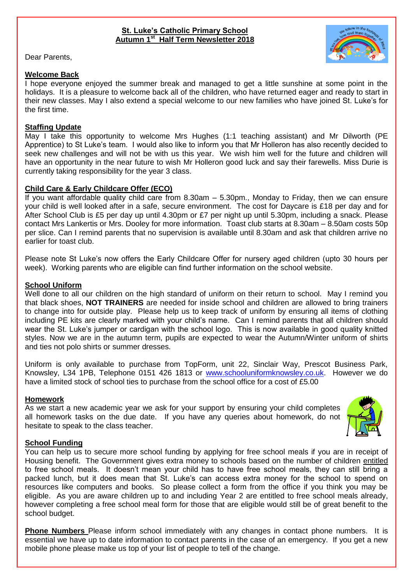# **St. Luke's Catholic Primary School Autumn 1st Half Term Newsletter 2018**

Dear Parents,

# **Welcome Back**

I hope everyone enjoyed the summer break and managed to get a little sunshine at some point in the holidays. It is a pleasure to welcome back all of the children, who have returned eager and ready to start in their new classes. May I also extend a special welcome to our new families who have joined St. Luke's for the first time.

# **Staffing Update**

May I take this opportunity to welcome Mrs Hughes (1:1 teaching assistant) and Mr Dilworth (PE Apprentice) to St Luke's team. I would also like to inform you that Mr Holleron has also recently decided to seek new challenges and will not be with us this year. We wish him well for the future and children will have an opportunity in the near future to wish Mr Holleron good luck and say their farewells. Miss Durie is currently taking responsibility for the year 3 class.

# **Child Care & Early Childcare Offer (ECO)**

If you want affordable quality child care from 8.30am – 5.30pm., Monday to Friday, then we can ensure your child is well looked after in a safe, secure environment. The cost for Daycare is £18 per day and for After School Club is £5 per day up until 4.30pm or £7 per night up until 5.30pm, including a snack. Please contact Mrs Lankertis or Mrs. Dooley for more information. Toast club starts at 8.30am – 8.50am costs 50p per slice. Can I remind parents that no supervision is available until 8.30am and ask that children arrive no earlier for toast club.

Please note St Luke's now offers the Early Childcare Offer for nursery aged children (upto 30 hours per week). Working parents who are eligible can find further information on the school website.

# **School Uniform**

Well done to all our children on the high standard of uniform on their return to school. May I remind you that black shoes, **NOT TRAINERS** are needed for inside school and children are allowed to bring trainers to change into for outside play. Please help us to keep track of uniform by ensuring all items of clothing including PE kits are clearly marked with your child's name. Can I remind parents that all children should wear the St. Luke's jumper or cardigan with the school logo. This is now available in good quality knitted styles. Now we are in the autumn term, pupils are expected to wear the Autumn/Winter uniform of shirts and ties not polo shirts or summer dresses.

Uniform is only available to purchase from TopForm, unit 22, Sinclair Way, Prescot Business Park, Knowsley, L34 1PB, Telephone 0151 426 1813 or [www.schooluniformknowsley.co.uk.](http://www.schooluniformknowsley.co.uk/) However we do have a limited stock of school ties to purchase from the school office for a cost of £5.00

# **Homework**

As we start a new academic year we ask for your support by ensuring your child completes all homework tasks on the due date. If you have any queries about homework, do not hesitate to speak to the class teacher.



# **School Funding**

You can help us to secure more school funding by applying for free school meals if you are in receipt of Housing benefit. The Government gives extra money to schools based on the number of children entitled to free school meals. It doesn't mean your child has to have free school meals, they can still bring a packed lunch, but it does mean that St. Luke's can access extra money for the school to spend on resources like computers and books. So please collect a form from the office if you think you may be eligible. As you are aware children up to and including Year 2 are entitled to free school meals already, however completing a free school meal form for those that are eligible would still be of great benefit to the school budget.

**Phone Numbers** Please inform school immediately with any changes in contact phone numbers. It is essential we have up to date information to contact parents in the case of an emergency. If you get a new mobile phone please make us top of your list of people to tell of the change.